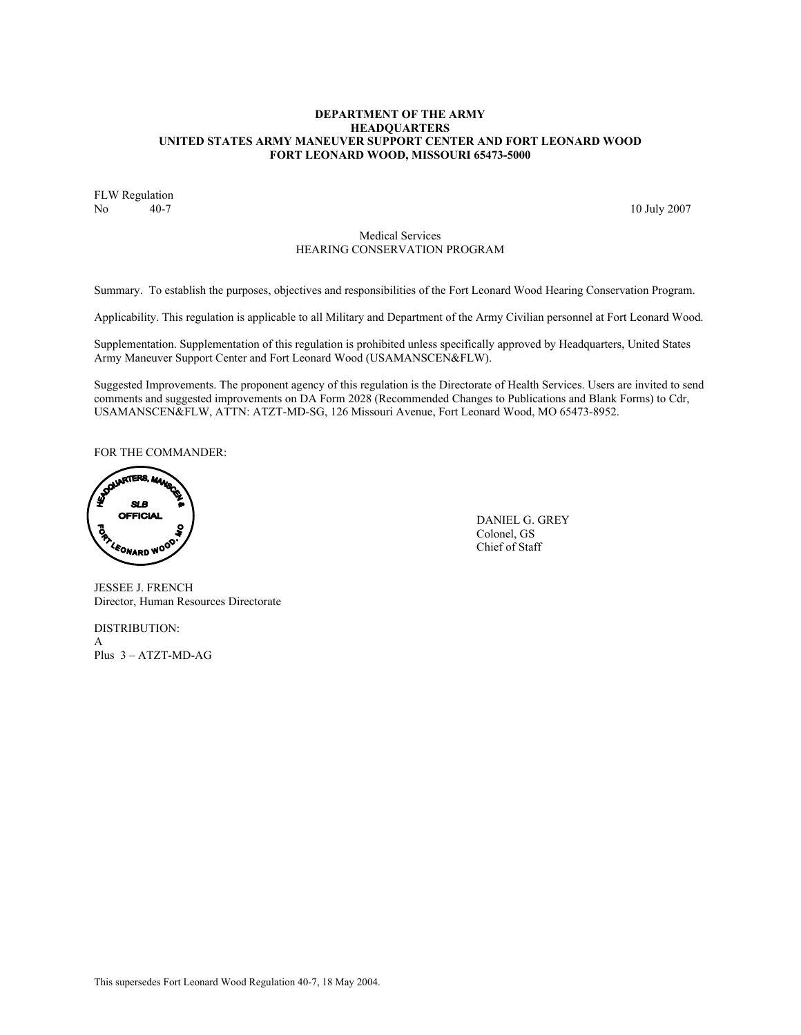## **DEPARTMENT OF THE ARMY HEADQUARTERS UNITED STATES ARMY MANEUVER SUPPORT CENTER AND FORT LEONARD WOOD FORT LEONARD WOOD, MISSOURI 65473-5000**

FLW Regulation<br>No 40-7 No 40-7 10 July 2007

# Medical Services HEARING CONSERVATION PROGRAM

Summary. To establish the purposes, objectives and responsibilities of the Fort Leonard Wood Hearing Conservation Program.

Applicability. This regulation is applicable to all Military and Department of the Army Civilian personnel at Fort Leonard Wood.

Supplementation. Supplementation of this regulation is prohibited unless specifically approved by Headquarters, United States Army Maneuver Support Center and Fort Leonard Wood (USAMANSCEN&FLW).

Suggested Improvements. The proponent agency of this regulation is the Directorate of Health Services. Users are invited to send comments and suggested improvements on DA Form 2028 (Recommended Changes to Publications and Blank Forms) to Cdr, USAMANSCEN&FLW, ATTN: ATZT-MD-SG, 126 Missouri Avenue, Fort Leonard Wood, MO 65473-8952.

FOR THE COMMANDER:

**SOLUARTERS, MAY SLB** Í **OFFICIAL**<br>**B**<br>*Colonel, GS*<br>*Colonel, GS*<br>Chief of Staff<br>Chief of Staff

JESSEE J. FRENCH Director, Human Resources Directorate

DISTRIBUTION: A Plus 3 – ATZT-MD-AG  Colonel, GS Chief of Staff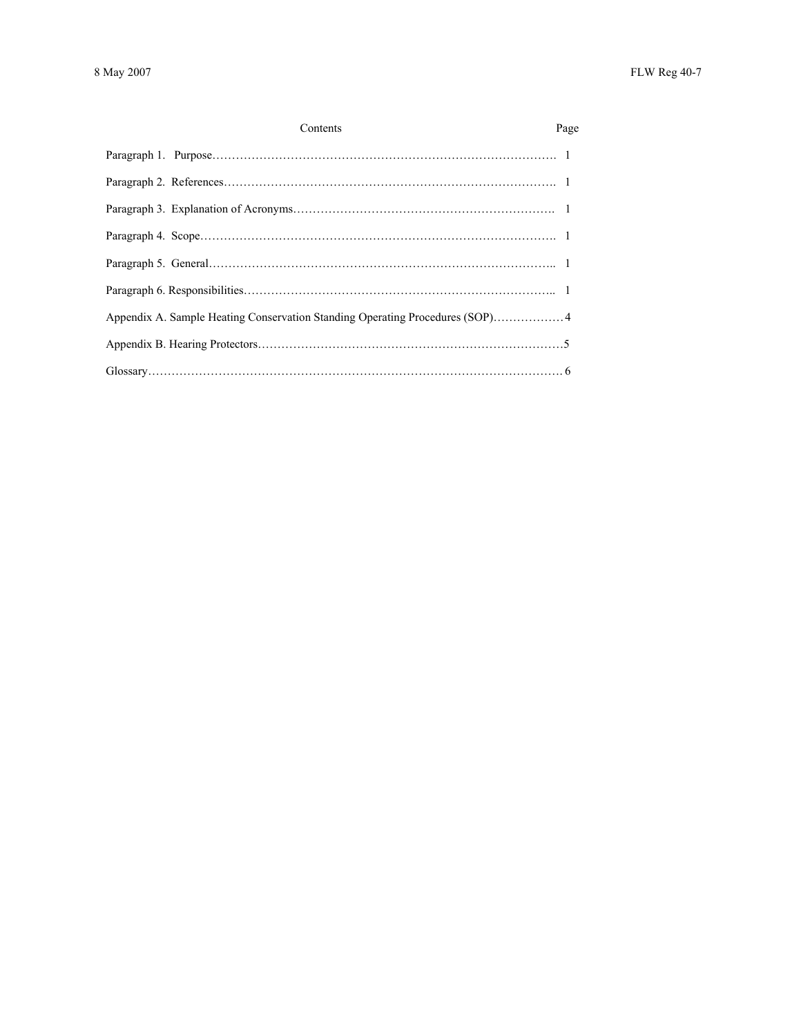| Contents<br>Page |  |
|------------------|--|
|                  |  |
|                  |  |
|                  |  |
|                  |  |
|                  |  |
|                  |  |
|                  |  |
|                  |  |
|                  |  |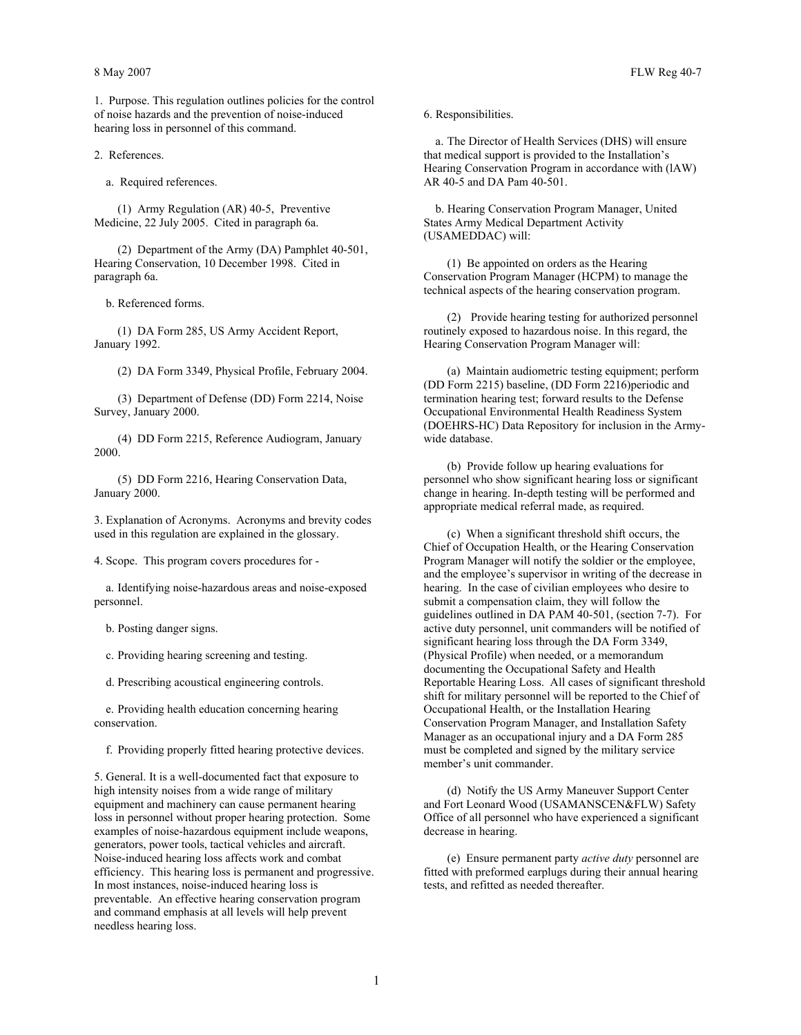1. Purpose. This regulation outlines policies for the control of noise hazards and the prevention of noise-induced hearing loss in personnel of this command.

2. References.

a. Required references.

 (1) Army Regulation (AR) 40-5, Preventive Medicine, 22 July 2005. Cited in paragraph 6a.

 (2) Department of the Army (DA) Pamphlet 40-501, Hearing Conservation, 10 December 1998. Cited in paragraph 6a.

b. Referenced forms.

 (1) DA Form 285, US Army Accident Report, January 1992.

(2) DA Form 3349, Physical Profile, February 2004.

 (3) Department of Defense (DD) Form 2214, Noise Survey, January 2000.

 (4) DD Form 2215, Reference Audiogram, January 2000.

 (5) DD Form 2216, Hearing Conservation Data, January 2000.

3. Explanation of Acronyms. Acronyms and brevity codes used in this regulation are explained in the glossary.

4. Scope. This program covers procedures for -

 a. Identifying noise-hazardous areas and noise-exposed personnel.

b. Posting danger signs.

c. Providing hearing screening and testing.

d. Prescribing acoustical engineering controls.

 e. Providing health education concerning hearing conservation.

f. Providing properly fitted hearing protective devices.

5. General. It is a well-documented fact that exposure to high intensity noises from a wide range of military equipment and machinery can cause permanent hearing loss in personnel without proper hearing protection. Some examples of noise-hazardous equipment include weapons, generators, power tools, tactical vehicles and aircraft. Noise-induced hearing loss affects work and combat efficiency. This hearing loss is permanent and progressive. In most instances, noise-induced hearing loss is preventable. An effective hearing conservation program and command emphasis at all levels will help prevent needless hearing loss.

6. Responsibilities.

 a. The Director of Health Services (DHS) will ensure that medical support is provided to the Installation's Hearing Conservation Program in accordance with (lAW) AR 40-5 and DA Pam 40-501.

 b. Hearing Conservation Program Manager, United States Army Medical Department Activity (USAMEDDAC) will:

 (1) Be appointed on orders as the Hearing Conservation Program Manager (HCPM) to manage the technical aspects of the hearing conservation program.

 (2) Provide hearing testing for authorized personnel routinely exposed to hazardous noise. In this regard, the Hearing Conservation Program Manager will:

 (a) Maintain audiometric testing equipment; perform (DD Form 2215) baseline, (DD Form 2216)periodic and termination hearing test; forward results to the Defense Occupational Environmental Health Readiness System (DOEHRS-HC) Data Repository for inclusion in the Armywide database.

 (b) Provide follow up hearing evaluations for personnel who show significant hearing loss or significant change in hearing. In-depth testing will be performed and appropriate medical referral made, as required.

 (c) When a significant threshold shift occurs, the Chief of Occupation Health, or the Hearing Conservation Program Manager will notify the soldier or the employee, and the employee's supervisor in writing of the decrease in hearing. In the case of civilian employees who desire to submit a compensation claim, they will follow the guidelines outlined in DA PAM 40-501, (section 7-7). For active duty personnel, unit commanders will be notified of significant hearing loss through the DA Form 3349, (Physical Profile) when needed, or a memorandum documenting the Occupational Safety and Health Reportable Hearing Loss. All cases of significant threshold shift for military personnel will be reported to the Chief of Occupational Health, or the Installation Hearing Conservation Program Manager, and Installation Safety Manager as an occupational injury and a DA Form 285 must be completed and signed by the military service member's unit commander.

 (d) Notify the US Army Maneuver Support Center and Fort Leonard Wood (USAMANSCEN&FLW) Safety Office of all personnel who have experienced a significant decrease in hearing.

 (e) Ensure permanent party *active duty* personnel are fitted with preformed earplugs during their annual hearing tests, and refitted as needed thereafter.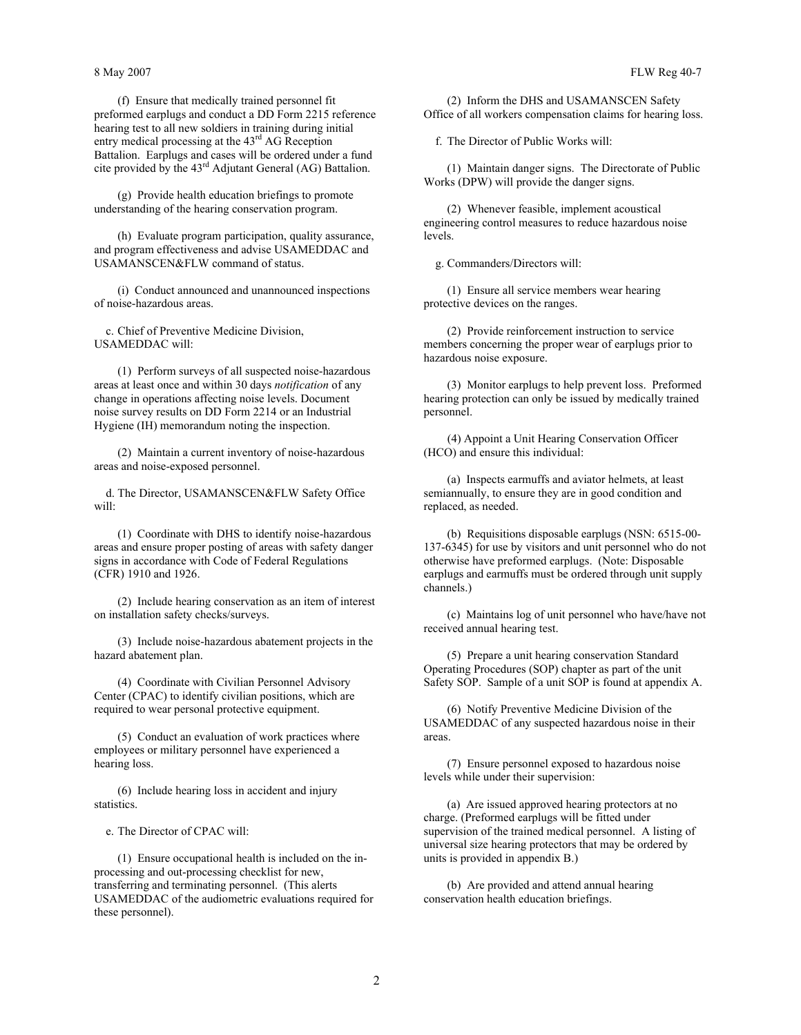(f) Ensure that medically trained personnel fit preformed earplugs and conduct a DD Form 2215 reference hearing test to all new soldiers in training during initial entry medical processing at the 43<sup>rd</sup> AG Reception Battalion. Earplugs and cases will be ordered under a fund cite provided by the 43rd Adjutant General (AG) Battalion.

 (g) Provide health education briefings to promote understanding of the hearing conservation program.

 (h) Evaluate program participation, quality assurance, and program effectiveness and advise USAMEDDAC and USAMANSCEN&FLW command of status.

 (i) Conduct announced and unannounced inspections of noise-hazardous areas.

 c. Chief of Preventive Medicine Division, USAMEDDAC will:

 (1) Perform surveys of all suspected noise-hazardous areas at least once and within 30 days *notification* of any change in operations affecting noise levels. Document noise survey results on DD Form 2214 or an Industrial Hygiene (IH) memorandum noting the inspection.

 (2) Maintain a current inventory of noise-hazardous areas and noise-exposed personnel.

 d. The Director, USAMANSCEN&FLW Safety Office will:

 (1) Coordinate with DHS to identify noise-hazardous areas and ensure proper posting of areas with safety danger signs in accordance with Code of Federal Regulations (CFR) 1910 and 1926.

 (2) Include hearing conservation as an item of interest on installation safety checks/surveys.

 (3) Include noise-hazardous abatement projects in the hazard abatement plan.

 (4) Coordinate with Civilian Personnel Advisory Center (CPAC) to identify civilian positions, which are required to wear personal protective equipment.

 (5) Conduct an evaluation of work practices where employees or military personnel have experienced a hearing loss.

 (6) Include hearing loss in accident and injury statistics.

e. The Director of CPAC will:

 (1) Ensure occupational health is included on the inprocessing and out-processing checklist for new, transferring and terminating personnel. (This alerts USAMEDDAC of the audiometric evaluations required for these personnel).

 (2) Inform the DHS and USAMANSCEN Safety Office of all workers compensation claims for hearing loss.

f. The Director of Public Works will:

 (1) Maintain danger signs. The Directorate of Public Works (DPW) will provide the danger signs.

 (2) Whenever feasible, implement acoustical engineering control measures to reduce hazardous noise levels.

g. Commanders/Directors will:

 (1) Ensure all service members wear hearing protective devices on the ranges.

 (2) Provide reinforcement instruction to service members concerning the proper wear of earplugs prior to hazardous noise exposure.

 (3) Monitor earplugs to help prevent loss. Preformed hearing protection can only be issued by medically trained personnel.

 (4) Appoint a Unit Hearing Conservation Officer (HCO) and ensure this individual:

 (a) Inspects earmuffs and aviator helmets, at least semiannually, to ensure they are in good condition and replaced, as needed.

 (b) Requisitions disposable earplugs (NSN: 6515-00- 137-6345) for use by visitors and unit personnel who do not otherwise have preformed earplugs. (Note: Disposable earplugs and earmuffs must be ordered through unit supply channels.)

 (c) Maintains log of unit personnel who have/have not received annual hearing test.

 (5) Prepare a unit hearing conservation Standard Operating Procedures (SOP) chapter as part of the unit Safety SOP. Sample of a unit SOP is found at appendix A.

 (6) Notify Preventive Medicine Division of the USAMEDDAC of any suspected hazardous noise in their areas.

 (7) Ensure personnel exposed to hazardous noise levels while under their supervision:

 (a) Are issued approved hearing protectors at no charge. (Preformed earplugs will be fitted under supervision of the trained medical personnel. A listing of universal size hearing protectors that may be ordered by units is provided in appendix B.)

 (b) Are provided and attend annual hearing conservation health education briefings.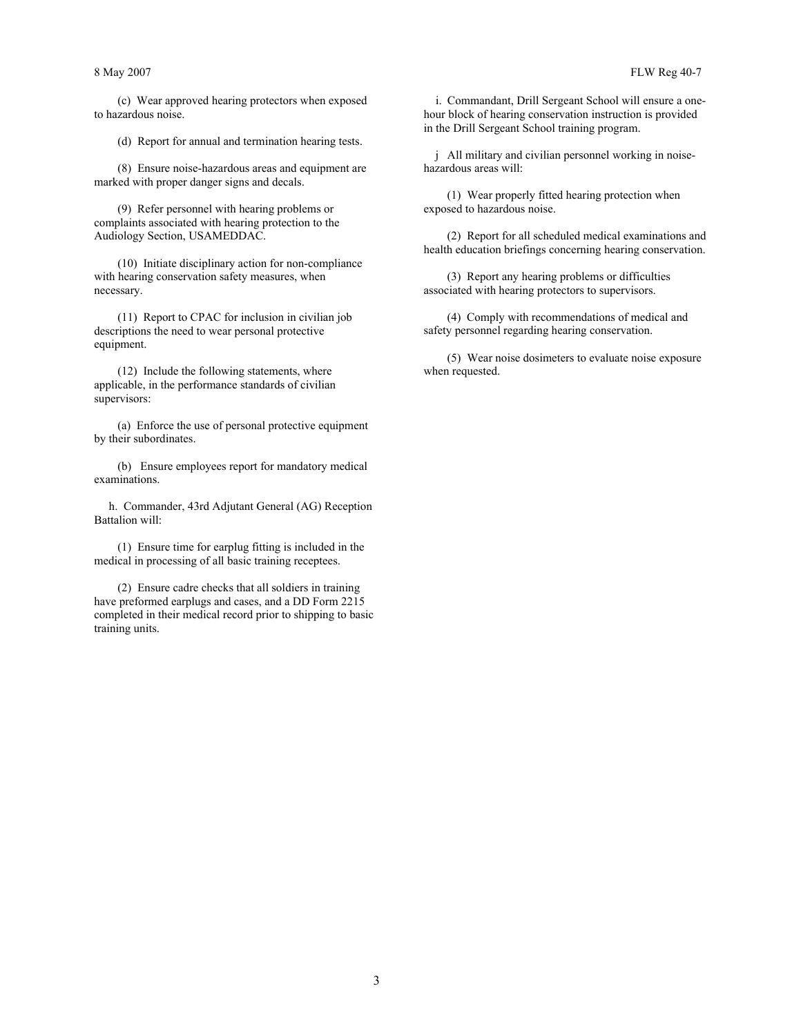(c) Wear approved hearing protectors when exposed to hazardous noise.

(d) Report for annual and termination hearing tests.

 (8) Ensure noise-hazardous areas and equipment are marked with proper danger signs and decals.

 (9) Refer personnel with hearing problems or complaints associated with hearing protection to the Audiology Section, USAMEDDAC.

 (10) Initiate disciplinary action for non-compliance with hearing conservation safety measures, when necessary.

 (11) Report to CPAC for inclusion in civilian job descriptions the need to wear personal protective equipment.

 (12) Include the following statements, where applicable, in the performance standards of civilian supervisors:

 (a) Enforce the use of personal protective equipment by their subordinates.

 (b) Ensure employees report for mandatory medical examinations.

 h. Commander, 43rd Adjutant General (AG) Reception Battalion will:

 (1) Ensure time for earplug fitting is included in the medical in processing of all basic training receptees.

 (2) Ensure cadre checks that all soldiers in training have preformed earplugs and cases, and a DD Form 2215 completed in their medical record prior to shipping to basic training units.

 i. Commandant, Drill Sergeant School will ensure a onehour block of hearing conservation instruction is provided in the Drill Sergeant School training program.

 j All military and civilian personnel working in noisehazardous areas will:

 (1) Wear properly fitted hearing protection when exposed to hazardous noise.

 (2) Report for all scheduled medical examinations and health education briefings concerning hearing conservation.

 (3) Report any hearing problems or difficulties associated with hearing protectors to supervisors.

 (4) Comply with recommendations of medical and safety personnel regarding hearing conservation.

 (5) Wear noise dosimeters to evaluate noise exposure when requested.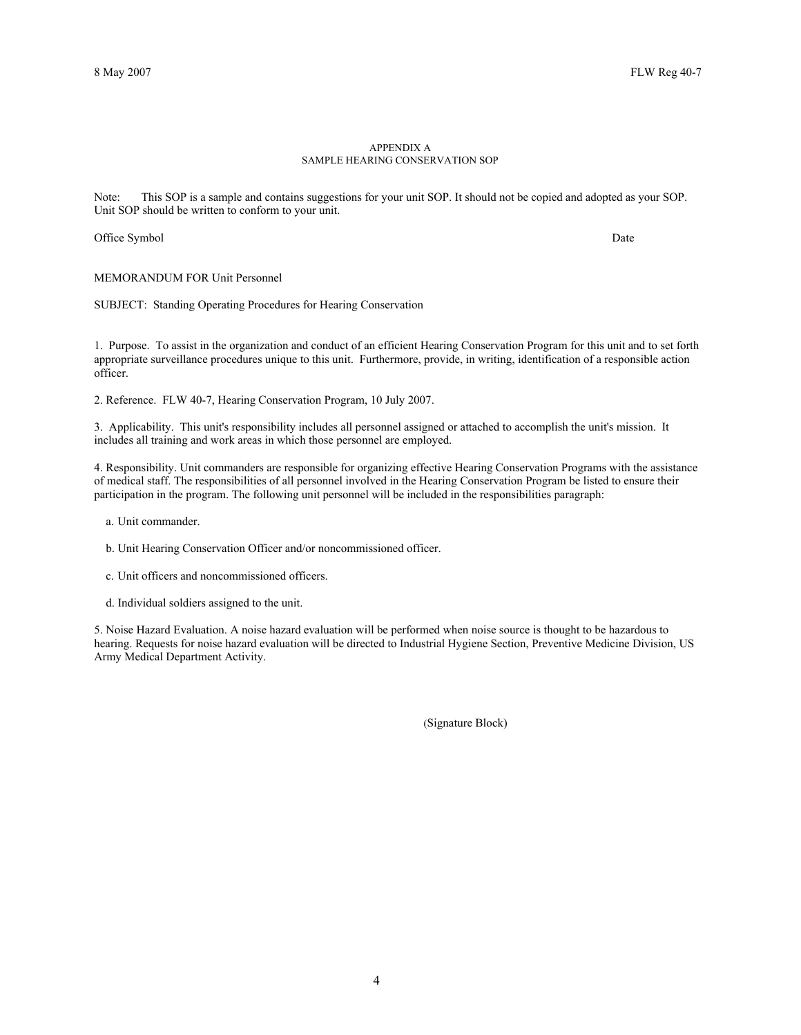### APPENDIX A SAMPLE HEARING CONSERVATION SOP

Note: This SOP is a sample and contains suggestions for your unit SOP. It should not be copied and adopted as your SOP. Unit SOP should be written to conform to your unit.

Office Symbol Date

MEMORANDUM FOR Unit Personnel

SUBJECT: Standing Operating Procedures for Hearing Conservation

1. Purpose. To assist in the organization and conduct of an efficient Hearing Conservation Program for this unit and to set forth appropriate surveillance procedures unique to this unit. Furthermore, provide, in writing, identification of a responsible action officer.

2. Reference. FLW 40-7, Hearing Conservation Program, 10 July 2007.

3. Applicability. This unit's responsibility includes all personnel assigned or attached to accomplish the unit's mission. It includes all training and work areas in which those personnel are employed.

4. Responsibility. Unit commanders are responsible for organizing effective Hearing Conservation Programs with the assistance of medical staff. The responsibilities of all personnel involved in the Hearing Conservation Program be listed to ensure their participation in the program. The following unit personnel will be included in the responsibilities paragraph:

a. Unit commander.

b. Unit Hearing Conservation Officer and/or noncommissioned officer.

- c. Unit officers and noncommissioned officers.
- d. Individual soldiers assigned to the unit.

5. Noise Hazard Evaluation. A noise hazard evaluation will be performed when noise source is thought to be hazardous to hearing. Requests for noise hazard evaluation will be directed to Industrial Hygiene Section, Preventive Medicine Division, US Army Medical Department Activity.

(Signature Block)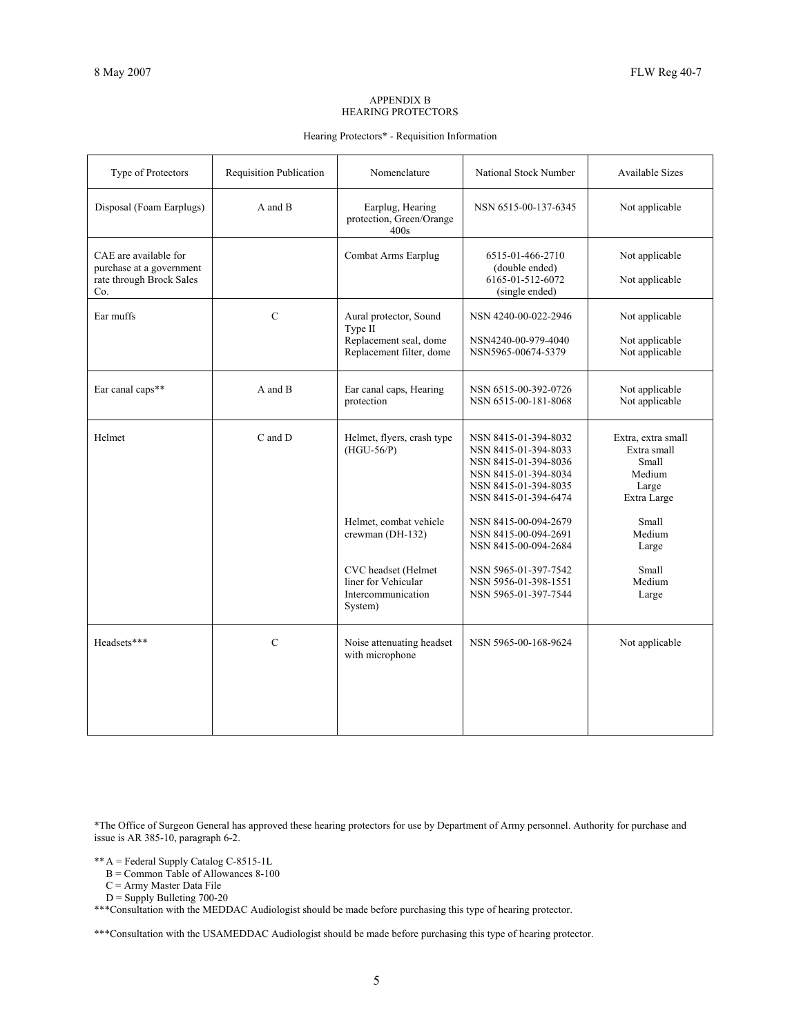### APPENDIX B HEARING PROTECTORS

## Hearing Protectors\* - Requisition Information

| Type of Protectors                                                                   | <b>Requisition Publication</b> | Nomenclature                                                                            | National Stock Number                                                                                                                        | <b>Available Sizes</b>                                                       |
|--------------------------------------------------------------------------------------|--------------------------------|-----------------------------------------------------------------------------------------|----------------------------------------------------------------------------------------------------------------------------------------------|------------------------------------------------------------------------------|
| Disposal (Foam Earplugs)                                                             | A and B                        | Earplug, Hearing<br>protection, Green/Orange<br>400s                                    | NSN 6515-00-137-6345                                                                                                                         | Not applicable                                                               |
| CAE are available for<br>purchase at a government<br>rate through Brock Sales<br>Co. |                                | Combat Arms Earplug                                                                     | 6515-01-466-2710<br>(double ended)<br>6165-01-512-6072<br>(single ended)                                                                     | Not applicable<br>Not applicable                                             |
| Ear muffs                                                                            | $\overline{C}$                 | Aural protector, Sound<br>Type II<br>Replacement seal, dome<br>Replacement filter, dome | NSN 4240-00-022-2946<br>NSN4240-00-979-4040<br>NSN5965-00674-5379                                                                            | Not applicable<br>Not applicable<br>Not applicable                           |
| Ear canal caps**                                                                     | A and B                        | Ear canal caps, Hearing<br>protection                                                   | NSN 6515-00-392-0726<br>NSN 6515-00-181-8068                                                                                                 | Not applicable<br>Not applicable                                             |
| Helmet                                                                               | C and D                        | Helmet, flyers, crash type<br>$(HGU-56/P)$                                              | NSN 8415-01-394-8032<br>NSN 8415-01-394-8033<br>NSN 8415-01-394-8036<br>NSN 8415-01-394-8034<br>NSN 8415-01-394-8035<br>NSN 8415-01-394-6474 | Extra, extra small<br>Extra small<br>Small<br>Medium<br>Large<br>Extra Large |
|                                                                                      |                                | Helmet, combat vehicle<br>crewman (DH-132)                                              | NSN 8415-00-094-2679<br>NSN 8415-00-094-2691<br>NSN 8415-00-094-2684                                                                         | Small<br>Medium<br>Large                                                     |
|                                                                                      |                                | CVC headset (Helmet<br>liner for Vehicular<br>Intercommunication<br>System)             | NSN 5965-01-397-7542<br>NSN 5956-01-398-1551<br>NSN 5965-01-397-7544                                                                         | Small<br>Medium<br>Large                                                     |
| Headsets***                                                                          | $\overline{C}$                 | Noise attenuating headset<br>with microphone                                            | NSN 5965-00-168-9624                                                                                                                         | Not applicable                                                               |
|                                                                                      |                                |                                                                                         |                                                                                                                                              |                                                                              |

\*The Office of Surgeon General has approved these hearing protectors for use by Department of Army personnel. Authority for purchase and issue is AR 385-10, paragraph 6-2.

\*\* A = Federal Supply Catalog C-8515-1L

B = Common Table of Allowances 8-100

 $C =$  Army Master Data File

 $D =$  Supply Bulleting 700-20

\*\*\*Consultation with the MEDDAC Audiologist should be made before purchasing this type of hearing protector.

\*\*\*Consultation with the USAMEDDAC Audiologist should be made before purchasing this type of hearing protector.